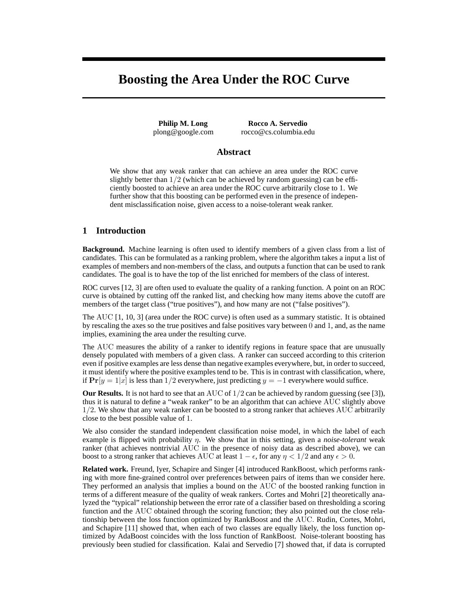# **Boosting the Area Under the ROC Curve**

**Philip M. Long** plong@google.com

**Rocco A. Servedio** rocco@cs.columbia.edu

## **Abstract**

We show that any weak ranker that can achieve an area under the ROC curve slightly better than  $1/2$  (which can be achieved by random guessing) can be efficiently boosted to achieve an area under the ROC curve arbitrarily close to 1. We further show that this boosting can be performed even in the presence of independent misclassification noise, given access to a noise-tolerant weak ranker.

## **1 Introduction**

**Background.** Machine learning is often used to identify members of a given class from a list of candidates. This can be formulated as a ranking problem, where the algorithm takes a input a list of examples of members and non-members of the class, and outputs a function that can be used to rank candidates. The goal is to have the top of the list enriched for members of the class of interest.

ROC curves [12, 3] are often used to evaluate the quality of a ranking function. A point on an ROC curve is obtained by cutting off the ranked list, and checking how many items above the cutoff are members of the target class ("true positives"), and how many are not ("false positives").

The AUC [1, 10, 3] (area under the ROC curve) is often used as a summary statistic. It is obtained by rescaling the axes so the true positives and false positives vary between 0 and 1, and, as the name implies, examining the area under the resulting curve.

The AUC measures the ability of a ranker to identify regions in feature space that are unusually densely populated with members of a given class. A ranker can succeed according to this criterion even if positive examples are less dense than negative examples everywhere, but, in order to succeed, it must identify where the positive examples tend to be. This is in contrast with classification, where, if  $Pr[y = 1|x]$  is less than 1/2 everywhere, just predicting  $y = -1$  everywhere would suffice.

**Our Results.** It is not hard to see that an AUC of  $1/2$  can be achieved by random guessing (see [3]), thus it is natural to define a "weak ranker" to be an algorithm that can achieve AUC slightly above 1/2. We show that any weak ranker can be boosted to a strong ranker that achieves AUC arbitrarily close to the best possible value of 1.

We also consider the standard independent classification noise model, in which the label of each example is flipped with probability η. We show that in this setting, given a *noise-tolerant* weak ranker (that achieves nontrivial AUC in the presence of noisy data as described above), we can boost to a strong ranker that achieves AUC at least  $1 - \epsilon$ , for any  $\eta < 1/2$  and any  $\epsilon > 0$ .

**Related work.** Freund, Iyer, Schapire and Singer [4] introduced RankBoost, which performs ranking with more fine-grained control over preferences between pairs of items than we consider here. They performed an analysis that implies a bound on the AUC of the boosted ranking function in terms of a different measure of the quality of weak rankers. Cortes and Mohri [2] theoretically analyzed the "typical" relationship between the error rate of a classifier based on thresholding a scoring function and the AUC obtained through the scoring function; they also pointed out the close relationship between the loss function optimized by RankBoost and the AUC. Rudin, Cortes, Mohri, and Schapire [11] showed that, when each of two classes are equally likely, the loss function optimized by AdaBoost coincides with the loss function of RankBoost. Noise-tolerant boosting has previously been studied for classification. Kalai and Servedio [7] showed that, if data is corrupted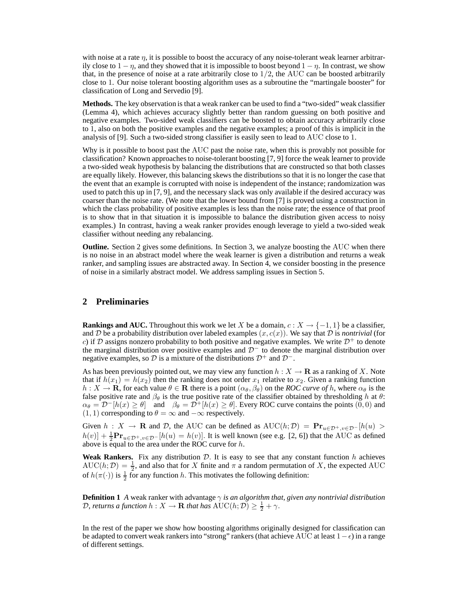with noise at a rate  $\eta$ , it is possible to boost the accuracy of any noise-tolerant weak learner arbitrarily close to  $1 - \eta$ , and they showed that it is impossible to boost beyond  $1 - \eta$ . In contrast, we show that, in the presence of noise at a rate arbitrarily close to  $1/2$ , the AUC can be boosted arbitrarily close to 1. Our noise tolerant boosting algorithm uses as a subroutine the "martingale booster" for classification of Long and Servedio [9].

**Methods.** The key observation is that a weak ranker can be used to find a "two-sided" weak classifier (Lemma 4), which achieves accuracy slightly better than random guessing on both positive and negative examples. Two-sided weak classifiers can be boosted to obtain accuracy arbitrarily close to 1, also on both the positive examples and the negative examples; a proof of this is implicit in the analysis of [9]. Such a two-sided strong classifier is easily seen to lead to AUC close to 1.

Why is it possible to boost past the AUC past the noise rate, when this is provably not possible for classification? Known approaches to noise-tolerant boosting [7, 9] force the weak learner to provide a two-sided weak hypothesis by balancing the distributions that are constructed so that both classes are equally likely. However, this balancing skews the distributions so that it is no longer the case that the event that an example is corrupted with noise is independent of the instance; randomization was used to patch this up in [7, 9], and the necessary slack was only available if the desired accuracy was coarser than the noise rate. (We note that the lower bound from [7] is proved using a construction in which the class probability of positive examples is less than the noise rate; the essence of that proof is to show that in that situation it is impossible to balance the distribution given access to noisy examples.) In contrast, having a weak ranker provides enough leverage to yield a two-sided weak classifier without needing any rebalancing.

**Outline.** Section 2 gives some definitions. In Section 3, we analyze boosting the AUC when there is no noise in an abstract model where the weak learner is given a distribution and returns a weak ranker, and sampling issues are abstracted away. In Section 4, we consider boosting in the presence of noise in a similarly abstract model. We address sampling issues in Section 5.

## **2 Preliminaries**

**Rankings and AUC.** Throughout this work we let X be a domain,  $c: X \to \{-1, 1\}$  be a classifier, and D be a probability distribution over labeled examples  $(x, c(x))$ . We say that D is *nontrivial* (for c) if D assigns nonzero probability to both positive and negative examples. We write  $\mathcal{D}^+$  to denote the marginal distribution over positive examples and  $\mathcal{D}^-$  to denote the marginal distribution over negative examples, so D is a mixture of the distributions  $\mathcal{D}^+$  and  $\mathcal{D}^-$ .

As has been previously pointed out, we may view any function  $h: X \to \mathbf{R}$  as a ranking of X. Note that if  $h(x_1) = h(x_2)$  then the ranking does not order  $x_1$  relative to  $x_2$ . Given a ranking function  $h: X \to \mathbf{R}$ , for each value  $\theta \in \mathbf{R}$  there is a point  $(\alpha_{\theta}, \beta_{\theta})$  on the *ROC curve of* h, where  $\alpha_{\theta}$  is the false positive rate and  $\beta_{\theta}$  is the true positive rate of the classifier obtained by thresholding h at  $\theta$ :  $\alpha_{\theta} = \mathcal{D}^{-}[h(x) \geq \theta]$  and  $\beta_{\theta} = \mathcal{D}^{+}[h(x) \geq \theta]$ . Every ROC curve contains the points  $(0,0)$  and  $(1, 1)$  corresponding to  $\theta = \infty$  and  $-\infty$  respectively.

Given  $h : X \to \mathbf{R}$  and  $D$ , the AUC can be defined as  $AUC(h; D) = \mathbf{Pr}_{u \in \mathcal{D}^+, v \in \mathcal{D}^-}[h(u)]$  $h(v)] + \frac{1}{2}Pr_{u \in \mathcal{D}^+, v \in \mathcal{D}^-}[h(u) = h(v)]$ . It is well known (see e.g. [2, 6]) that the AUC as defined above is equal to the area under the ROC curve for  $h$ .

**Weak Rankers.** Fix any distribution  $D$ . It is easy to see that any constant function  $h$  achieves  $AUC(h; \mathcal{D}) = \frac{1}{2}$ , and also that for X finite and  $\pi$  a random permutation of X, the expected AUC of  $h(\pi(\cdot))$  is  $\frac{1}{2}$  for any function h. This motivates the following definition:

**Definition 1** *A* weak ranker with advantage  $\gamma$  *is an algorithm that, given any nontrivial distribution* D, returns a function  $h: X \to \mathbf{R}$  that has  $\text{AUC}(h; \mathcal{D}) \geq \frac{1}{2} + \gamma$ .

In the rest of the paper we show how boosting algorithms originally designed for classification can be adapted to convert weak rankers into "strong" rankers (that achieve AUC at least  $1-\epsilon$ ) in a range of different settings.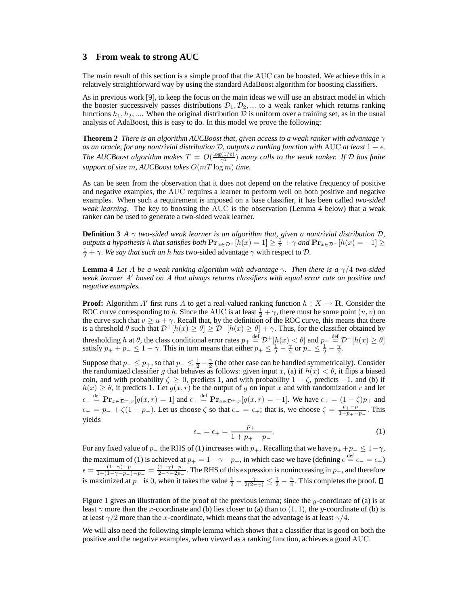#### **3 From weak to strong AUC**

The main result of this section is a simple proof that the AUC can be boosted. We achieve this in a relatively straightforward way by using the standard AdaBoost algorithm for boosting classifiers.

As in previous work [9], to keep the focus on the main ideas we will use an abstract model in which the booster successively passes distributions  $\mathcal{D}_1, \mathcal{D}_2, \dots$  to a weak ranker which returns ranking functions  $h_1, h_2, \ldots$  When the original distribution D is uniform over a training set, as in the usual analysis of AdaBoost, this is easy to do. In this model we prove the following:

**Theorem 2** *There is an algorithm AUCBoost that, given access to a weak ranker with advantage* γ *as an oracle, for any nontrivial distribution D, outputs a ranking function with* AUC *at least* 1 −  $\epsilon$ *. The AUCBoost algorithm makes*  $T = O(\frac{\log(1/\epsilon)}{\gamma^2})$  *many calls to the weak ranker. If*  $D$  *has finite support of size* m*, AUCBoost takes* O(mT log m) *time.*

As can be seen from the observation that it does not depend on the relative frequency of positive and negative examples, the AUC requires a learner to perform well on both positive and negative examples. When such a requirement is imposed on a base classifier, it has been called *two-sided weak learning*. The key to boosting the AUC is the observation (Lemma 4 below) that a weak ranker can be used to generate a two-sided weak learner.

**Definition 3** *A*  $\gamma$  *two-sided weak learner is an algorithm that, given a nontrivial distribution*  $D$ *, outputs a hypothesis h that satisfies both*  $Pr_{x \in \mathcal{D}^+}[h(x) = 1] \ge \frac{1}{2} + \gamma$  and  $Pr_{x \in \mathcal{D}^-}[h(x) = -1] \ge$  $\frac{1}{2} + \gamma$ . *We say that such an h has* two-sided advantage  $\gamma$  with respect to D.

**Lemma 4** *Let* A *be a weak ranking algorithm with advantage* γ*. Then there is a* γ/4 *two-sided weak learner* A′ *based on* A *that always returns classifiers with equal error rate on positive and negative examples.*

**Proof:** Algorithm A' first runs A to get a real-valued ranking function  $h: X \to \mathbf{R}$ . Consider the ROC curve corresponding to h. Since the AUC is at least  $\frac{1}{2} + \gamma$ , there must be some point  $(u, v)$  on the curve such that  $v \geq u + \gamma$ . Recall that, by the definition of the ROC curve, this means that there is a threshold  $\theta$  such that  $\mathcal{D}^+[h(x)\geq \theta]\geq \mathcal{D}^-[h(x)\geq \theta]+\gamma$ . Thus, for the classifier obtained by thresholding h at  $\theta$ , the class conditional error rates  $p_+ \stackrel{\text{def}}{=} \mathcal{D}^+[h(x) < \theta]$  and  $p_- \stackrel{\text{def}}{=} \mathcal{D}^-[h(x) \ge \theta]$ satisfy  $p_+ + p_- \leq 1 - \gamma$ . This in turn means that either  $p_+ \leq \frac{1}{2} - \frac{\gamma}{2}$  or  $p_- \leq \frac{1}{2} - \frac{\gamma}{2}$ .

Suppose that  $p_-\leq p_+$ , so that  $p_-\leq \frac{1}{2}-\frac{\gamma}{2}$  (the other case can be handled symmetrically). Consider the randomized classifier g that behaves as follows: given input x, (a) if  $h(x) < \theta$ , it flips a biased coin, and with probability  $\zeta \geq 0$ , predicts 1, and with probability  $1 - \zeta$ , predicts  $-1$ , and (b) if  $h(x) \geq \theta$ , it predicts 1. Let  $g(x, r)$  be the output of g on input x and with randomization r and let  $\epsilon_{-} \stackrel{\text{def}}{=} \mathbf{Pr}_{x \in \mathcal{D}^{-}, r}[g(x, r) = 1]$  and  $\epsilon_{+} \stackrel{\text{def}}{=} \mathbf{Pr}_{x \in \mathcal{D}^{+}, r}[g(x, r) = -1]$ . We have  $\epsilon_{+} = (1 - \zeta)p_{+}$  and  $\epsilon_-=p_-+\zeta(1-p_-)$ . Let us choose  $\zeta$  so that  $\epsilon_-=\epsilon_+$ ; that is, we choose  $\zeta=\frac{p_+-p_-}{1+p_+-p_-}$  $\frac{p_+ - p_-}{1 + p_+ - p_-}$ . This yields

$$
\epsilon_{-} = \epsilon_{+} = \frac{p_{+}}{1 + p_{+} - p_{-}}.\tag{1}
$$

For any fixed value of  $p_-\$  the RHS of (1) increases with  $p_+\$ . Recalling that we have  $p_+ + p_-\leq 1-\gamma$ , the maximum of (1) is achieved at  $p_+ = 1 - \gamma - p_-,$  in which case we have (defining  $\epsilon \stackrel{\text{def}}{=} \epsilon_- = \epsilon_+$ )  $\epsilon = \frac{(1-\gamma)-p_-}{1+(1-\gamma-p_-)}$  $\frac{(1-\gamma)-p_-}{1+(1-\gamma-p_-)-p_-} = \frac{(1-\gamma)-p_-}{2-\gamma-2p_-}$  $\frac{(1-\gamma)-p_-}{2-\gamma-2p_-}$ . The RHS of this expression is nonincreasing in  $p_$ , and therefore is maximized at  $p_$  is 0, when it takes the value  $\frac{1}{2} - \frac{\gamma}{2(2-\gamma)} \leq \frac{1}{2} - \frac{\gamma}{4}$ . This completes the proof.

Figure 1 gives an illustration of the proof of the previous lemma; since the y-coordinate of (a) is at least  $\gamma$  more than the x-coordinate and (b) lies closer to (a) than to (1, 1), the y-coordinate of (b) is at least  $\gamma/2$  more than the x-coordinate, which means that the advantage is at least  $\gamma/4$ .

We will also need the following simple lemma which shows that a classifier that is good on both the positive and the negative examples, when viewed as a ranking function, achieves a good AUC.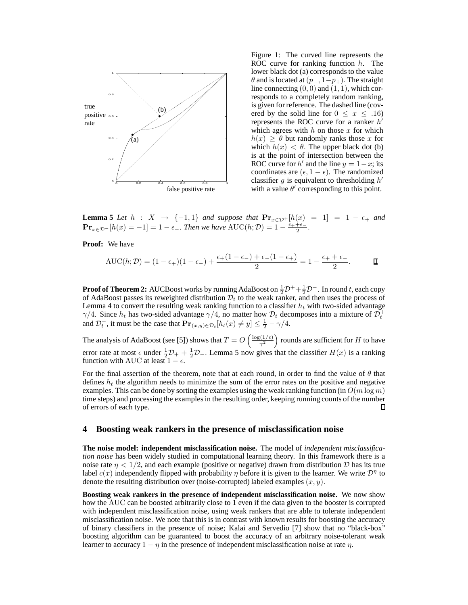

Figure 1: The curved line represents the ROC curve for ranking function  $h$ . The lower black dot (a) corresponds to the value  $\theta$  and is located at  $(p_-, 1-p_+)$ . The straight line connecting  $(0, 0)$  and  $(1, 1)$ , which corresponds to a completely random ranking, is given for reference. The dashed line (covered by the solid line for  $0 \le x \le .16$ ) represents the ROC curve for a ranker  $h'$ which agrees with  $h$  on those  $x$  for which  $h(x) \geq \theta$  but randomly ranks those x for which  $h(x) < \theta$ . The upper black dot (b) is at the point of intersection between the ROC curve for h' and the line  $y = 1 - x$ ; its coordinates are  $(\epsilon, 1 - \epsilon)$ . The randomized classifier g is equivalent to thresholding  $h'$ with a value  $\theta'$  corresponding to this point.

**Lemma 5** *Let*  $h : X \rightarrow \{-1,1\}$  *and suppose that*  $\mathbf{Pr}_{x \in \mathcal{D}^+}[h(x) = 1] = 1 - \epsilon_+$  *and*  $\mathbf{Pr}_{x \in \mathcal{D}^-}[h(x) = -1] = 1 - \epsilon_-.$  Then we have  $\mathrm{AUC}(h; \mathcal{D}) = 1 - \frac{\epsilon_+ + \epsilon_-}{2}$  $\frac{+\epsilon_-}{2}$ .

**Proof:** We have

$$
AUC(h; \mathcal{D}) = (1 - \epsilon_+)(1 - \epsilon_-) + \frac{\epsilon_+ (1 - \epsilon_-) + \epsilon_- (1 - \epsilon_+)}{2} = 1 - \frac{\epsilon_+ + \epsilon_-}{2}.
$$

**Proof of Theorem 2:** AUCBoost works by running AdaBoost on  $\frac{1}{2}D^++\frac{1}{2}D^-$ . In round t, each copy of AdaBoost passes its reweighted distribution  $\mathcal{D}_t$  to the weak ranker, and then uses the process of Lemma 4 to convert the resulting weak ranking function to a classifier  $h_t$  with two-sided advantage  $\gamma/4$ . Since  $h_t$  has two-sided advantage  $\gamma/4$ , no matter how  $\mathcal{D}_t$  decomposes into a mixture of  $\mathcal{D}_t^+$ and  $\mathcal{D}_t^-$ , it must be the case that  $\mathbf{Pr}_{(x,y)\in\mathcal{D}_t}[h_t(x)\neq y] \le \frac{1}{2} - \gamma/4$ .

The analysis of AdaBoost (see [5]) shows that  $T = O\left(\frac{\log(1/\epsilon)}{\gamma^2}\right)$  rounds are sufficient for H to have error rate at most  $\epsilon$  under  $\frac{1}{2}\mathcal{D}_{+} + \frac{1}{2}\mathcal{D}_{-}$ . Lemma 5 now gives that the classifier  $H(x)$  is a ranking function with AUC at least  $1 - \epsilon$ .

For the final assertion of the theorem, note that at each round, in order to find the value of  $\theta$  that defines  $h_t$  the algorithm needs to minimize the sum of the error rates on the positive and negative examples. This can be done by sorting the examples using the weak ranking function (in  $O(m \log m)$ ) time steps) and processing the examples in the resulting order, keeping running counts of the number of errors of each type.  $\Box$ 

#### **4 Boosting weak rankers in the presence of misclassification noise**

**The noise model: independent misclassification noise.** The model of *independent misclassification noise* has been widely studied in computational learning theory. In this framework there is a noise rate  $\eta < 1/2$ , and each example (positive or negative) drawn from distribution D has its true label  $c(x)$  independently flipped with probability  $\eta$  before it is given to the learner. We write  $\mathcal{D}^{\eta}$  to denote the resulting distribution over (noise-corrupted) labeled examples  $(x, y)$ .

**Boosting weak rankers in the presence of independent misclassification noise.** We now show how the AUC can be boosted arbitrarily close to 1 even if the data given to the booster is corrupted with independent misclassification noise, using weak rankers that are able to tolerate independent misclassification noise. We note that this is in contrast with known results for boosting the accuracy of binary classifiers in the presence of noise; Kalai and Servedio [7] show that no "black-box" boosting algorithm can be guaranteed to boost the accuracy of an arbitrary noise-tolerant weak learner to accuracy  $1 - \eta$  in the presence of independent misclassification noise at rate  $\eta$ .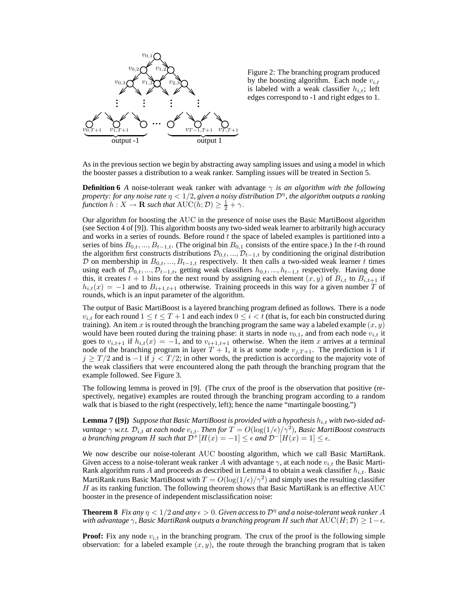

Figure 2: The branching program produced by the boosting algorithm. Each node  $v_{i,t}$ is labeled with a weak classifier  $h_{i,t}$ ; left edges correspond to -1 and right edges to 1.

As in the previous section we begin by abstracting away sampling issues and using a model in which the booster passes a distribution to a weak ranker. Sampling issues will be treated in Section 5.

**Definition 6** *A* noise-tolerant weak ranker with advantage  $\gamma$  *is an algorithm with the following property: for any noise rate* η < 1/2*, given a noisy distribution* D<sup>η</sup> *, the algorithm outputs a ranking function*  $h: X \to \mathbf{R}$  *such that*  $\mathrm{AUC}(h; \mathcal{D}) \geq \frac{1}{2} + \gamma$ .

Our algorithm for boosting the AUC in the presence of noise uses the Basic MartiBoost algorithm (see Section 4 of [9]). This algorithm boosts any two-sided weak learner to arbitrarily high accuracy and works in a series of rounds. Before round  $t$  the space of labeled examples is partitioned into a series of bins  $B_{0,t},..., B_{t-1,t}$ . (The original bin  $B_{0,1}$  consists of the entire space.) In the t-th round the algorithm first constructs distributions  $\mathcal{D}_{0,t}, ..., \mathcal{D}_{t-1,t}$  by conditioning the original distribution D on membership in  $B_{0,t},...,B_{t-1,t}$  respectively. It then calls a two-sided weak learner t times using each of  $\mathcal{D}_{0,t},...,\mathcal{D}_{t-1,t}$ , getting weak classifiers  $h_{0,t},...,h_{t-1,t}$  respectively. Having done this, it creates  $t + 1$  bins for the next round by assigning each element  $(x, y)$  of  $B_{i,t}$  to  $B_{i,t+1}$  if  $h_{i,t}(x) = -1$  and to  $B_{i+1,t+1}$  otherwise. Training proceeds in this way for a given number T of rounds, which is an input parameter of the algorithm.

The output of Basic MartiBoost is a layered branching program defined as follows. There is a node  $v_{i,t}$  for each round  $1 \le t \le T+1$  and each index  $0 \le i \le t$  (that is, for each bin constructed during training). An item x is routed through the branching program the same way a labeled example  $(x, y)$ would have been routed during the training phase: it starts in node  $v_{0,1}$ , and from each node  $v_{i,t}$  it goes to  $v_{i,t+1}$  if  $h_{i,t}(x) = -1$ , and to  $v_{i+1,t+1}$  otherwise. When the item x arrives at a terminal node of the branching program in layer  $T + 1$ , it is at some node  $v_{j,T+1}$ . The prediction is 1 if  $j \geq T/2$  and is  $-1$  if  $j < T/2$ ; in other words, the prediction is according to the majority vote of the weak classifiers that were encountered along the path through the branching program that the example followed. See Figure 3.

The following lemma is proved in [9]. (The crux of the proof is the observation that positive (respectively, negative) examples are routed through the branching program according to a random walk that is biased to the right (respectively, left); hence the name "martingale boosting.")

**Lemma 7 ([9])** Suppose that Basic MartiBoost is provided with a hypothesis  $h_{i,t}$  with two-sided ad $v$ antage  $\gamma$  w.r.t.  $\mathcal{D}_{i,t}$  at each node  $v_{i,t}.$  Then for  $T=O(\log(1/\epsilon)/\gamma^2)$ , Basic MartiBoost constructs *a branching program* H *such that*  $\mathcal{D}^+ [H(x) = -1] \leq \epsilon$  *and*  $\mathcal{D}^- [H(x) = 1] \leq \epsilon$ *.* 

We now describe our noise-tolerant AUC boosting algorithm, which we call Basic MartiRank. Given access to a noise-tolerant weak ranker A with advantage  $\gamma$ , at each node  $v_{i,t}$  the Basic Marti-Rank algorithm runs A and proceeds as described in Lemma 4 to obtain a weak classifier  $h_{i,t}$ . Basic MartiRank runs Basic MartiBoost with  $T = O(\log(1/\epsilon)/\gamma^2)$  and simply uses the resulting classifier  $H$  as its ranking function. The following theorem shows that Basic MartiRank is an effective  $AUC$ booster in the presence of independent misclassification noise:

**Theorem 8** *Fix any*  $\eta < 1/2$  *and any*  $\epsilon > 0$ . *Given access to*  $\mathcal{D}^{\eta}$  *and a noise-tolerant weak ranker* A *with advantage*  $\gamma$ *, Basic MartiRank outputs a branching program* H *such that*  $AUC(H; \mathcal{D}) \geq 1-\epsilon$ *.* 

**Proof:** Fix any node  $v_{i,t}$  in the branching program. The crux of the proof is the following simple observation: for a labeled example  $(x, y)$ , the route through the branching program that is taken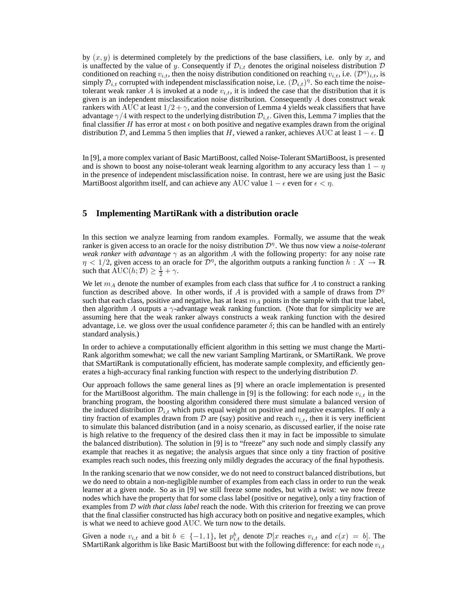by  $(x, y)$  is determined completely by the predictions of the base classifiers, i.e. only by x, and is unaffected by the value of y. Consequently if  $\mathcal{D}_{i,t}$  denotes the original noiseless distribution  $\mathcal D$ conditioned on reaching  $v_{i,t}$ , then the noisy distribution conditioned on reaching  $v_{i,t}$ , i.e.  $(\mathcal{D}^{\eta})_{i,t}$ , is simply  $\mathcal{D}_{i,t}$  corrupted with independent misclassification noise, i.e.  $(\mathcal{D}_{i,t})^{\eta}$ . So each time the noisetolerant weak ranker A is invoked at a node  $v_{i,t}$ , it is indeed the case that the distribution that it is given is an independent misclassification noise distribution. Consequently  $A$  does construct weak rankers with AUC at least  $1/2 + \gamma$ , and the conversion of Lemma 4 yields weak classifiers that have advantage  $\gamma/4$  with respect to the underlying distribution  $\mathcal{D}_{i,t}$ . Given this, Lemma 7 implies that the final classifier H has error at most  $\epsilon$  on both positive and negative examples drawn from the original distribution D, and Lemma 5 then implies that H, viewed a ranker, achieves AUC at least  $1 - \epsilon$ .  $\Box$ 

In [9], a more complex variant of Basic MartiBoost, called Noise-Tolerant SMartiBoost, is presented and is shown to boost any noise-tolerant weak learning algorithm to any accuracy less than  $1 - \eta$ in the presence of independent misclassification noise. In contrast, here we are using just the Basic MartiBoost algorithm itself, and can achieve any AUC value  $1 - \epsilon$  even for  $\epsilon < \eta$ .

## **5 Implementing MartiRank with a distribution oracle**

In this section we analyze learning from random examples. Formally, we assume that the weak ranker is given access to an oracle for the noisy distribution D<sup>η</sup> . We thus now view a *noise-tolerant weak ranker with advantage*  $\gamma$  as an algorithm A with the following property: for any noise rate  $\eta$  < 1/2, given access to an oracle for  $\mathcal{D}^{\eta}$ , the algorithm outputs a ranking function  $h: X \to \mathbf{R}$ such that  $\text{AUC}(h; \mathcal{D}) \geq \frac{1}{2} + \gamma$ .

We let  $m_A$  denote the number of examples from each class that suffice for A to construct a ranking function as described above. In other words, if A is provided with a sample of draws from  $\mathcal{D}^{\eta}$ such that each class, positive and negative, has at least  $m_A$  points in the sample with that true label, then algorithm A outputs a  $\gamma$ -advantage weak ranking function. (Note that for simplicity we are assuming here that the weak ranker always constructs a weak ranking function with the desired advantage, i.e. we gloss over the usual confidence parameter  $\delta$ ; this can be handled with an entirely standard analysis.)

In order to achieve a computationally efficient algorithm in this setting we must change the Marti-Rank algorithm somewhat; we call the new variant Sampling Martirank, or SMartiRank. We prove that SMartiRank is computationally efficient, has moderate sample complexity, and efficiently generates a high-accuracy final ranking function with respect to the underlying distribution D.

Our approach follows the same general lines as [9] where an oracle implementation is presented for the MartiBoost algorithm. The main challenge in [9] is the following: for each node  $v_{i,t}$  in the branching program, the boosting algorithm considered there must simulate a balanced version of the induced distribution  $\mathcal{D}_{i,t}$  which puts equal weight on positive and negative examples. If only a tiny fraction of examples drawn from D are (say) positive and reach  $v_{i,t}$ , then it is very inefficient to simulate this balanced distribution (and in a noisy scenario, as discussed earlier, if the noise rate is high relative to the frequency of the desired class then it may in fact be impossible to simulate the balanced distribution). The solution in [9] is to "freeze" any such node and simply classify any example that reaches it as negative; the analysis argues that since only a tiny fraction of positive examples reach such nodes, this freezing only mildly degrades the accuracy of the final hypothesis.

In the ranking scenario that we now consider, we do not need to construct balanced distributions, but we do need to obtain a non-negligible number of examples from each class in order to run the weak learner at a given node. So as in [9] we still freeze some nodes, but with a twist: we now freeze nodes which have the property that for some class label (positive or negative), only a tiny fraction of examples from D *with that class label* reach the node. With this criterion for freezing we can prove that the final classifier constructed has high accuracy both on positive and negative examples, which is what we need to achieve good AUC. We turn now to the details.

Given a node  $v_{i,t}$  and a bit  $b \in \{-1,1\}$ , let  $p_{i,t}^b$  denote  $\mathcal{D}[x]$  reaches  $v_{i,t}$  and  $c(x) = b$ . The SMartiRank algorithm is like Basic MartiBoost but with the following difference: for each node  $v_{i,t}$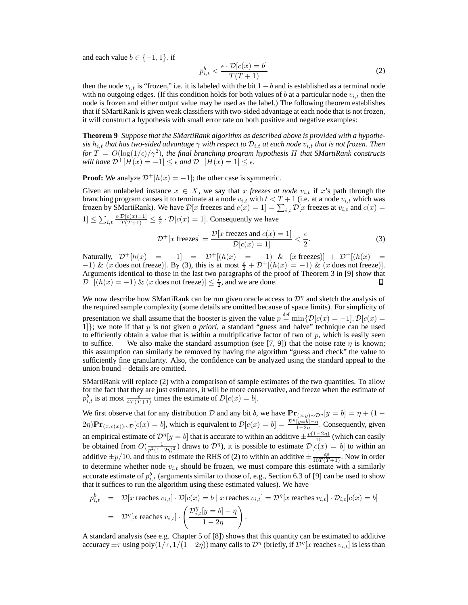and each value  $b \in \{-1, 1\}$ , if

$$
p_{i,t}^b < \frac{\epsilon \cdot \mathcal{D}[c(x) = b]}{T(T+1)}\tag{2}
$$

then the node  $v_{i,t}$  is "frozen," i.e. it is labeled with the bit  $1 - b$  and is established as a terminal node with no outgoing edges. (If this condition holds for both values of b at a particular node  $v_{i,t}$  then the node is frozen and either output value may be used as the label.) The following theorem establishes that if SMartiRank is given weak classifiers with two-sided advantage at each node that is not frozen, it will construct a hypothesis with small error rate on both positive and negative examples:

**Theorem 9** *Suppose that the SMartiRank algorithm as described above is provided with a hypothesis*  $h_{i,t}$  *that has two-sided advantage*  $\gamma$  *with respect to*  $\mathcal{D}_{i,t}$  *at each node*  $v_{i,t}$  *that is not frozen. Then for* T = O(log(1/ǫ)/γ<sup>2</sup> )*, the final branching program hypothesis* H *that SMartiRank constructs will have*  $\mathcal{D}^+[H(x) = -1] \leq \epsilon$  *and*  $\mathcal{D}^-[H(x) = 1] \leq \epsilon$ *.* 

**Proof:** We analyze  $\mathcal{D}^+ [h(x) = -1]$ ; the other case is symmetric.

Given an unlabeled instance  $x \in X$ , we say that x freezes at node  $v_{i,t}$  if x's path through the branching program causes it to terminate at a node  $v_{i,t}$  with  $t < T + 1$  (i.e. at a node  $v_{i,t}$  which was frozen by SMartiRank). We have  $\mathcal{D}[x]$  freezes and  $c(x) = 1$   $= \sum_{i,t} \mathcal{D}[x]$  freezes at  $v_{i,t}$  and  $c(x) = 1$  $[1] \leq \sum_{i,t} \frac{\epsilon \cdot \mathcal{D}[c(x)=1]}{T(T+1)} \leq \frac{\epsilon}{2} \cdot \mathcal{D}[c(x)=1]$ . Consequently we have

$$
\mathcal{D}^+[x \text{ freezes}] = \frac{\mathcal{D}[x \text{ freezes and } c(x) = 1]}{\mathcal{D}[c(x) = 1]} < \frac{\epsilon}{2}.\tag{3}
$$

Naturally,  $\mathcal{D}^+ [h(x) = -1] = \mathcal{D}^+ [(h(x) = -1) \& (x \text{ freezes})] + \mathcal{D}^+ [(h(x) = -1) \& (x \text{ freezes})]$  $-1)$  & (x does not freeze)]. By (3), this is at most  $\frac{\epsilon}{2} + \mathcal{D}^+[(h(x) = -1)$  & (x does not freeze)]. Arguments identical to those in the last two paragraphs of the proof of Theorem 3 in [9] show that  $\mathcal{D}^{\pm}[(h(x) = -1) \& (x \text{ does not freeze})] \leq \frac{\varepsilon}{2}$ , and we are done. П

We now describe how SMartiRank can be run given oracle access to  $\mathcal{D}^{\eta}$  and sketch the analysis of the required sample complexity (some details are omitted because of space limits). For simplicity of presentation we shall assume that the booster is given the value  $p \stackrel{\text{def}}{=} \min\{\mathcal{D}[c(x) = -1], \mathcal{D}[c(x) = -1]\}$ 1]}; we note if that p is not given *a priori*, a standard "guess and halve" technique can be used to efficiently obtain a value that is within a multiplicative factor of two of  $p$ , which is easily seen to suffice. We also make the standard assumption (see [7, 9]) that the noise rate  $\eta$  is known; this assumption can similarly be removed by having the algorithm "guess and check" the value to sufficiently fine granularity. Also, the confidence can be analyzed using the standard appeal to the union bound – details are omitted.

SMartiRank will replace (2) with a comparison of sample estimates of the two quantities. To allow for the fact that they are just estimates, it will be more conservative, and freeze when the estimate of  $p_{i,t}^b$  is at most  $\frac{\epsilon}{4T(T+1)}$  times the estimate of  $D[c(x) = b]$ .

We first observe that for any distribution D and any bit b, we have  $\mathbf{Pr}_{(x,y)\sim\mathcal{D}^{\eta}}[y=b] = \eta + (1-b)^{2}$  $(2\eta)\mathbf{Pr}_{(x,c(x))\sim\mathcal{D}}[c(x) = b]$ , which is equivalent to  $\mathcal{D}[c(x) = b] = \frac{\mathcal{D}^{\eta}[y=b]-\eta}{1-2\eta}$  $\frac{y=a_1-\eta}{1-2\eta}$ . Consequently, given an empirical estimate of  $\mathcal{D}^{\eta}[y=b]$  that is accurate to within an additive  $\pm \frac{p(1-2\eta)}{10}$  (which can easily be obtained from  $O(\frac{1}{p^2(1-2\eta)^2})$  draws to  $\mathcal{D}^{\eta}$ , it is possible to estimate  $\mathcal{D}[c(x) = b]$  to within an additive  $\pm p/10$ , and thus to estimate the RHS of (2) to within an additive  $\pm \frac{\epsilon p}{10T(T+1)}$ . Now in order to determine whether node  $v_{i,t}$  should be frozen, we must compare this estimate with a similarly accurate estimate of  $p_{i,t}^b$  (arguments similar to those of, e.g., Section 6.3 of [9] can be used to show that it suffices to run the algorithm using these estimated values). We have

$$
p_{i,t}^b = \mathcal{D}[x \text{ reaches } v_{i,t}] \cdot \mathcal{D}[c(x) = b \mid x \text{ reaches } v_{i,t}] = \mathcal{D}^\eta[x \text{ reaches } v_{i,t}] \cdot \mathcal{D}_{i,t}[c(x) = b]
$$
  
=  $\mathcal{D}^\eta[x \text{ reaches } v_{i,t}] \cdot \left(\frac{\mathcal{D}_{i,t}^\eta[y = b] - \eta}{1 - 2\eta}\right).$ 

A standard analysis (see e.g. Chapter 5 of [8]) shows that this quantity can be estimated to additive accuracy  $\pm\tau$  using poly $(1/\tau,1/(1-2\eta))$  many calls to  $\mathcal{D}^\eta$  (briefly, if  $\mathcal{D}^\eta[x$  reaches  $v_{i,t}]$  is less than